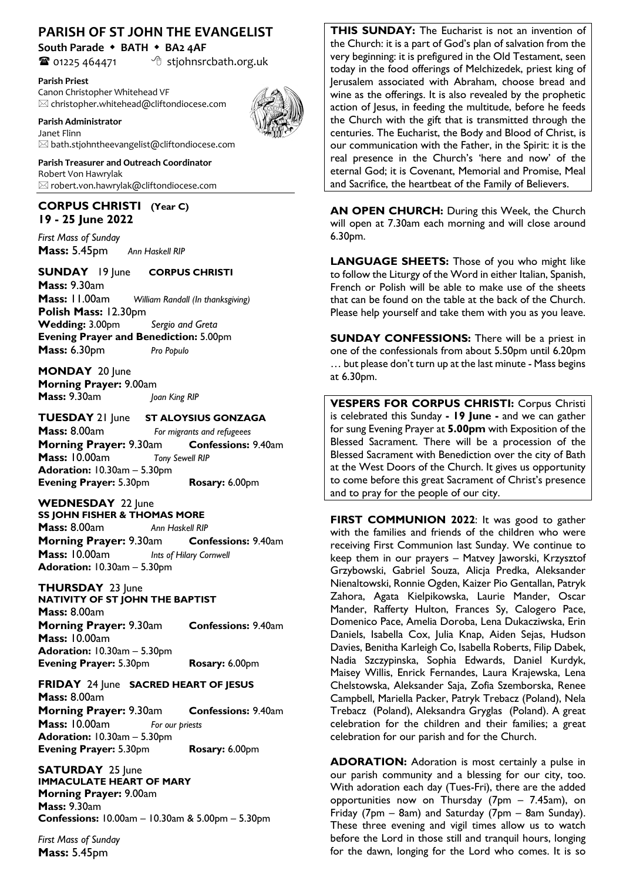# **PARISH OF ST JOHN THE EVANGELIST**

**South Parade** w **BATH** w **BA2 4AF**

 $\bullet$  01225 464471  $\bullet$  stjohnsrcbath.org.uk

**Parish Priest** Canon Christopher Whitehead VF  $\boxtimes$  christopher.whitehead@cliftondiocese.com



**Parish Administrator**  Janet Flinn  $\boxtimes$  bath.stjohntheevangelist@cliftondiocese.com

**Parish Treasurer and Outreach Coordinator** Robert Von Hawrylak  $\boxtimes$  robert.von.hawrylak@cliftondiocese.com

# **CORPUS CHRISTI (Year C) 19 - 25 June 2022**

*First Mass of Sunday* **Mass:** 5.45pm*Ann Haskell RIP*

**SUNDAY** 19 June **CORPUS CHRISTI Mass:** 9.30am **Mass:** 11.00am *William Randall (In thanksgiving)* **Polish Mass:** 12.30pm **Wedding:** 3.00pm *Sergio and Greta* **Evening Prayer and Benediction:** 5.00pm **Mass:** 6.30pm *Pro Populo*

**MONDAY** 20 June **Morning Prayer:** 9.00am **Mass:** 9.30am *Joan King RIP*

## **TUESDAY** 21 June **ST ALOYSIUS GONZAGA**

**Mass:** 8.00am *For migrants and refugeees* **Morning Prayer:** 9.30am **Confessions:** 9.40am **Mass:** 10.00am *Tony Sewell RIP* **Adoration:** 10.30am – 5.30pm **Evening Prayer:** 5.30pm **Rosary:** 6.00pm

WEDNESDAY 22 June **SS JOHN FISHER & THOMAS MORE Mass:** 8.00am *Ann Haskell RIP*

**Morning Prayer:** 9.30am **Confessions:** 9.40am **Mass:** 10.00am *Ints of Hilary Cornwell*  **Adoration:** 10.30am – 5.30pm

**THURSDAY** 23 June

**NATIVITY OF ST JOHN THE BAPTIST Mass:** 8.00am **Morning Prayer:** 9.30am **Confessions:** 9.40am **Mass:** 10.00am **Adoration:** 10.30am – 5.30pm **Evening Prayer:** 5.30pm **Rosary:** 6.00pm

#### **FRIDAY** 24 June **SACRED HEART OF JESUS Mass:** 8.00am

**Morning Prayer:** 9.30am **Confessions:** 9.40am **Mass:** 10.00am *For our priests* **Adoration:** 10.30am – 5.30pm **Evening Prayer:** 5.30pm **Rosary:** 6.00pm

**SATURDAY** 25 June **IMMACULATE HEART OF MARY Morning Prayer:** 9.00am **Mass:** 9.30am **Confessions:** 10.00am – 10.30am & 5.00pm – 5.30pm

*First Mass of Sunday*  **Mass:** 5.45pm

**THIS SUNDAY:** The Eucharist is not an invention of the Church: it is a part of God's plan of salvation from the very beginning: it is prefigured in the Old Testament, seen today in the food offerings of Melchizedek, priest king of Jerusalem associated with Abraham, choose bread and wine as the offerings. It is also revealed by the prophetic action of Jesus, in feeding the multitude, before he feeds the Church with the gift that is transmitted through the centuries. The Eucharist, the Body and Blood of Christ, is our communication with the Father, in the Spirit: it is the real presence in the Church's 'here and now' of the eternal God; it is Covenant, Memorial and Promise, Meal and Sacrifice, the heartbeat of the Family of Believers.

**AN OPEN CHURCH:** During this Week, the Church will open at 7.30am each morning and will close around 6.30pm.

**LANGUAGE SHEETS:** Those of you who might like to follow the Liturgy of the Word in either Italian, Spanish, French or Polish will be able to make use of the sheets that can be found on the table at the back of the Church. Please help yourself and take them with you as you leave.

**SUNDAY CONFESSIONS:** There will be a priest in one of the confessionals from about 5.50pm until 6.20pm … but please don't turn up at the last minute - Mass begins at 6.30pm.

**VESPERS FOR CORPUS CHRISTI:** Corpus Christi is celebrated this Sunday **- 19 June -** and we can gather for sung Evening Prayer at **5.00pm** with Exposition of the Blessed Sacrament. There will be a procession of the Blessed Sacrament with Benediction over the city of Bath at the West Doors of the Church. It gives us opportunity to come before this great Sacrament of Christ's presence and to pray for the people of our city.

**FIRST COMMUNION 2022**: It was good to gather with the families and friends of the children who were receiving First Communion last Sunday. We continue to keep them in our prayers – Matvey Jaworski, Krzysztof Grzybowski, Gabriel Souza, Alicja Predka, Aleksander Nienaltowski, Ronnie Ogden, Kaizer Pio Gentallan, Patryk Zahora, Agata Kielpikowska, Laurie Mander, Oscar Mander, Rafferty Hulton, Frances Sy, Calogero Pace, Domenico Pace, Amelia Doroba, Lena Dukacziwska, Erin Daniels, Isabella Cox, Julia Knap, Aiden Sejas, Hudson Davies, Benitha Karleigh Co, Isabella Roberts, Filip Dabek, Nadia Szczypinska, Sophia Edwards, Daniel Kurdyk, Maisey Willis, Enrick Fernandes, Laura Krajewska, Lena Chelstowska, Aleksander Saja, Zofia Szemborska, Renee Campbell, Mariella Packer, Patryk Trebacz (Poland), Nela Trebacz (Poland), Aleksandra Gryglas (Poland). A great celebration for the children and their families; a great celebration for our parish and for the Church.

**ADORATION:** Adoration is most certainly a pulse in our parish community and a blessing for our city, too. With adoration each day (Tues-Fri), there are the added opportunities now on Thursday (7pm – 7.45am), on Friday (7pm – 8am) and Saturday (7pm – 8am Sunday). These three evening and vigil times allow us to watch before the Lord in those still and tranquil hours, longing for the dawn, longing for the Lord who comes. It is so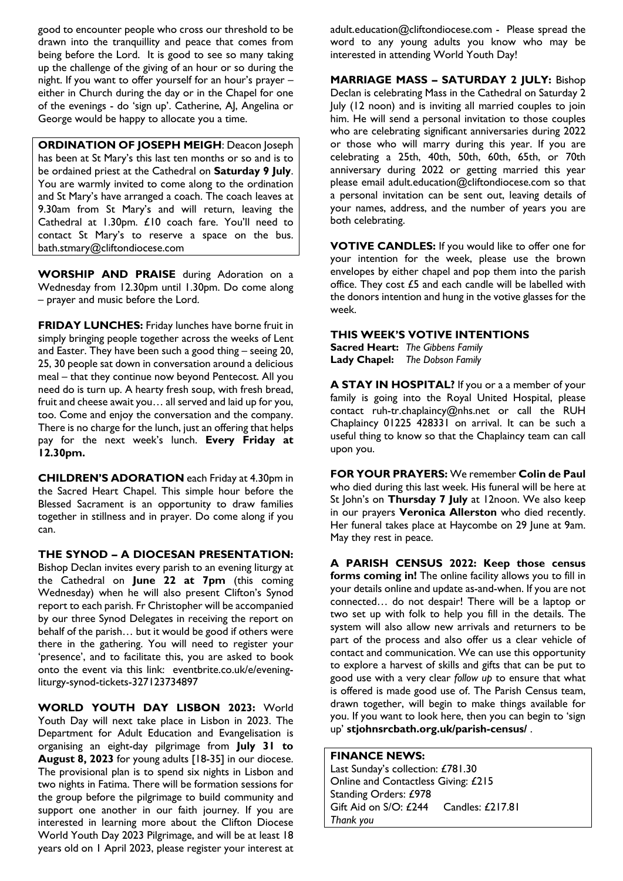good to encounter people who cross our threshold to be drawn into the tranquillity and peace that comes from being before the Lord. It is good to see so many taking up the challenge of the giving of an hour or so during the night. If you want to offer yourself for an hour's prayer – either in Church during the day or in the Chapel for one of the evenings - do 'sign up'. Catherine, AJ, Angelina or George would be happy to allocate you a time.

**ORDINATION OF JOSEPH MEIGH: Deacon Joseph** has been at St Mary's this last ten months or so and is to be ordained priest at the Cathedral on **Saturday 9 July**. You are warmly invited to come along to the ordination and St Mary's have arranged a coach. The coach leaves at 9.30am from St Mary's and will return, leaving the Cathedral at 1.30pm. £10 coach fare. You'll need to contact St Mary's to reserve a space on the bus. bath.stmary@cliftondiocese.com

**WORSHIP AND PRAISE** during Adoration on a Wednesday from 12.30pm until 1.30pm. Do come along – prayer and music before the Lord.

**FRIDAY LUNCHES:** Friday lunches have borne fruit in simply bringing people together across the weeks of Lent and Easter. They have been such a good thing – seeing 20, 25, 30 people sat down in conversation around a delicious meal – that they continue now beyond Pentecost. All you need do is turn up. A hearty fresh soup, with fresh bread, fruit and cheese await you… all served and laid up for you, too. Come and enjoy the conversation and the company. There is no charge for the lunch, just an offering that helps pay for the next week's lunch. **Every Friday at 12.30pm.**

**CHILDREN'S ADORATION** each Friday at 4.30pm in the Sacred Heart Chapel. This simple hour before the Blessed Sacrament is an opportunity to draw families together in stillness and in prayer. Do come along if you can.

**THE SYNOD – A DIOCESAN PRESENTATION:**  Bishop Declan invites every parish to an evening liturgy at the Cathedral on **June 22 at 7pm** (this coming Wednesday) when he will also present Clifton's Synod report to each parish. Fr Christopher will be accompanied by our three Synod Delegates in receiving the report on behalf of the parish… but it would be good if others were there in the gathering. You will need to register your 'presence', and to facilitate this, you are asked to book onto the event via this link: eventbrite.co.uk/e/eveningliturgy-synod-tickets-327123734897

**WORLD YOUTH DAY LISBON 2023:** World Youth Day will next take place in Lisbon in 2023. The Department for Adult Education and Evangelisation is organising an eight-day pilgrimage from **July 31 to August 8, 2023** for young adults [18-35] in our diocese. The provisional plan is to spend six nights in Lisbon and two nights in Fatima. There will be formation sessions for the group before the pilgrimage to build community and support one another in our faith journey. If you are interested in learning more about the Clifton Diocese World Youth Day 2023 Pilgrimage, and will be at least 18 years old on 1 April 2023, please register your interest at

adult.education@cliftondiocese.com - Please spread the word to any young adults you know who may be interested in attending World Youth Day!

**MARRIAGE MASS – SATURDAY 2 JULY:** Bishop Declan is celebrating Mass in the Cathedral on Saturday 2 July (12 noon) and is inviting all married couples to join him. He will send a personal invitation to those couples who are celebrating significant anniversaries during 2022 or those who will marry during this year. If you are celebrating a 25th, 40th, 50th, 60th, 65th, or 70th anniversary during 2022 or getting married this year please email adult.education@cliftondiocese.com so that a personal invitation can be sent out, leaving details of your names, address, and the number of years you are both celebrating.

**VOTIVE CANDLES:** If you would like to offer one for your intention for the week, please use the brown envelopes by either chapel and pop them into the parish office. They cost £5 and each candle will be labelled with the donors intention and hung in the votive glasses for the week.

### **THIS WEEK'S VOTIVE INTENTIONS**

**Sacred Heart:** *The Gibbens Family* **Lady Chapel:** *The Dobson Family*

**A STAY IN HOSPITAL?** If you or a a member of your family is going into the Royal United Hospital, please contact ruh-tr.chaplaincy@nhs.net or call the RUH Chaplaincy 01225 428331 on arrival. It can be such a useful thing to know so that the Chaplaincy team can call upon you.

**FOR YOUR PRAYERS:** We remember **Colin de Paul**  who died during this last week. His funeral will be here at St John's on **Thursday 7 July** at 12noon. We also keep in our prayers **Veronica Allerston** who died recently. Her funeral takes place at Haycombe on 29 June at 9am. May they rest in peace.

**A PARISH CENSUS 2022: Keep those census forms coming in!** The online facility allows you to fill in your details online and update as-and-when. If you are not connected… do not despair! There will be a laptop or two set up with folk to help you fill in the details. The system will also allow new arrivals and returners to be part of the process and also offer us a clear vehicle of contact and communication. We can use this opportunity to explore a harvest of skills and gifts that can be put to good use with a very clear *follow up* to ensure that what is offered is made good use of. The Parish Census team, drawn together, will begin to make things available for you. If you want to look here, then you can begin to 'sign up' **stjohnsrcbath.org.uk/parish-census/** .

### **FINANCE NEWS:**

Last Sunday's collection: £781.30 Online and Contactless Giving: £215 Standing Orders: £978 Gift Aid on S/O: £244 Candles: £217.81 *Thank you*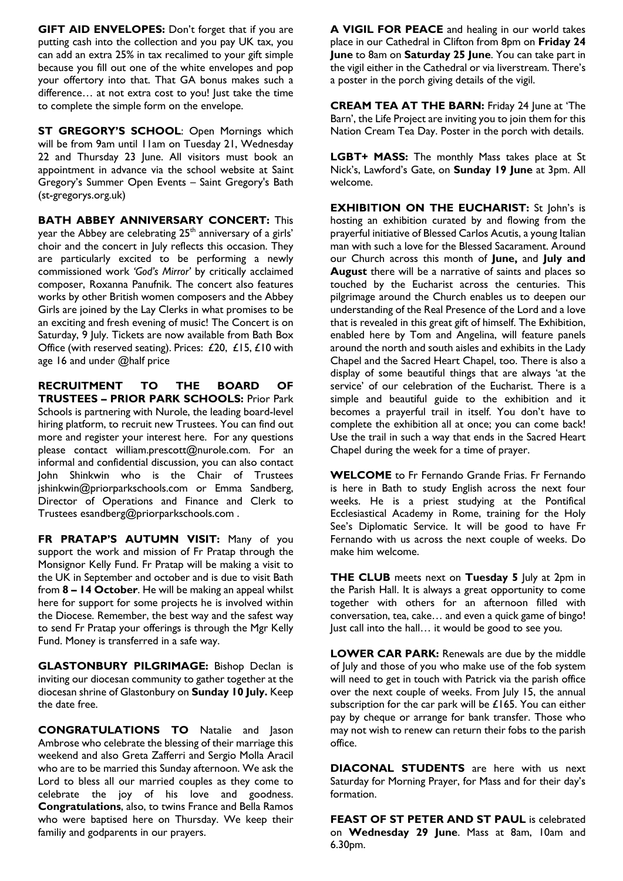**GIFT AID ENVELOPES:** Don't forget that if you are putting cash into the collection and you pay UK tax, you can add an extra 25% in tax recalimed to your gift simple because you fill out one of the white envelopes and pop your offertory into that. That GA bonus makes such a difference… at not extra cost to you! Just take the time to complete the simple form on the envelope.

**ST GREGORY'S SCHOOL:** Open Mornings which will be from 9am until 11am on Tuesday 21, Wednesday 22 and Thursday 23 June. All visitors must book an appointment in advance via the school website at Saint Gregory's Summer Open Events – Saint Gregory's Bath (st-gregorys.org.uk)

**BATH ABBEY ANNIVERSARY CONCERT:** This year the Abbey are celebrating 25<sup>th</sup> anniversary of a girls' choir and the concert in July reflects this occasion. They are particularly excited to be performing a newly commissioned work *'God's Mirror'* by critically acclaimed composer, Roxanna Panufnik. The concert also features works by other British women composers and the Abbey Girls are joined by the Lay Clerks in what promises to be an exciting and fresh evening of music! The Concert is on Saturday, 9 July. Tickets are now available from Bath Box Office (with reserved seating). Prices: £20, £15, £10 with age 16 and under @half price

**RECRUITMENT TO THE BOARD OF TRUSTEES – PRIOR PARK SCHOOLS:** Prior Park Schools is partnering with Nurole, the leading board-level hiring platform, to recruit new Trustees. You can find out more and register your interest here. For any questions please contact william.prescott@nurole.com. For an informal and confidential discussion, you can also contact John Shinkwin who is the Chair of Trustees jshinkwin@priorparkschools.com or Emma Sandberg, Director of Operations and Finance and Clerk to Trustees esandberg@priorparkschools.com .

**FR PRATAP'S AUTUMN VISIT:** Many of you support the work and mission of Fr Pratap through the Monsignor Kelly Fund. Fr Pratap will be making a visit to the UK in September and october and is due to visit Bath from **8 – 14 October**. He will be making an appeal whilst here for support for some projects he is involved within the Diocese. Remember, the best way and the safest way to send Fr Pratap your offerings is through the Mgr Kelly Fund. Money is transferred in a safe way.

**GLASTONBURY PILGRIMAGE:** Bishop Declan is inviting our diocesan community to gather together at the diocesan shrine of Glastonbury on **Sunday 10 July.** Keep the date free.

**CONGRATULATIONS TO** Natalie and Jason Ambrose who celebrate the blessing of their marriage this weekend and also Greta Zafferri and Sergio Molla Aracil who are to be married this Sunday afternoon. We ask the Lord to bless all our married couples as they come to celebrate the joy of his love and goodness. **Congratulations**, also, to twins France and Bella Ramos who were baptised here on Thursday. We keep their familiy and godparents in our prayers.

**A VIGIL FOR PEACE** and healing in our world takes place in our Cathedral in Clifton from 8pm on **Friday 24 June** to 8am on **Saturday 25 June**. You can take part in the vigil either in the Cathedral or via liverstream. There's a poster in the porch giving details of the vigil.

**CREAM TEA AT THE BARN:** Friday 24 June at 'The Barn', the Life Project are inviting you to join them for this Nation Cream Tea Day. Poster in the porch with details.

**LGBT+ MASS:** The monthly Mass takes place at St Nick's, Lawford's Gate, on **Sunday 19 June** at 3pm. All welcome.

**EXHIBITION ON THE EUCHARIST:** St John's is hosting an exhibition curated by and flowing from the prayerful initiative of Blessed Carlos Acutis, a young Italian man with such a love for the Blessed Sacarament. Around our Church across this month of **June,** and **July and August** there will be a narrative of saints and places so touched by the Eucharist across the centuries. This pilgrimage around the Church enables us to deepen our understanding of the Real Presence of the Lord and a love that is revealed in this great gift of himself. The Exhibition, enabled here by Tom and Angelina, will feature panels around the north and south aisles and exhibits in the Lady Chapel and the Sacred Heart Chapel, too. There is also a display of some beautiful things that are always 'at the service' of our celebration of the Eucharist. There is a simple and beautiful guide to the exhibition and it becomes a prayerful trail in itself. You don't have to complete the exhibition all at once; you can come back! Use the trail in such a way that ends in the Sacred Heart Chapel during the week for a time of prayer.

**WELCOME** to Fr Fernando Grande Frias. Fr Fernando is here in Bath to study English across the next four weeks. He is a priest studying at the Pontifical Ecclesiastical Academy in Rome, training for the Holy See's Diplomatic Service. It will be good to have Fr Fernando with us across the next couple of weeks. Do make him welcome.

**THE CLUB** meets next on **Tuesday 5** July at 2pm in the Parish Hall. It is always a great opportunity to come together with others for an afternoon filled with conversation, tea, cake… and even a quick game of bingo! Just call into the hall… it would be good to see you.

**LOWER CAR PARK:** Renewals are due by the middle of July and those of you who make use of the fob system will need to get in touch with Patrick via the parish office over the next couple of weeks. From July 15, the annual subscription for the car park will be £165. You can either pay by cheque or arrange for bank transfer. Those who may not wish to renew can return their fobs to the parish office.

**DIACONAL STUDENTS** are here with us next Saturday for Morning Prayer, for Mass and for their day's formation.

**FEAST OF ST PETER AND ST PAUL** is celebrated on **Wednesday 29 June**. Mass at 8am, 10am and 6.30pm.